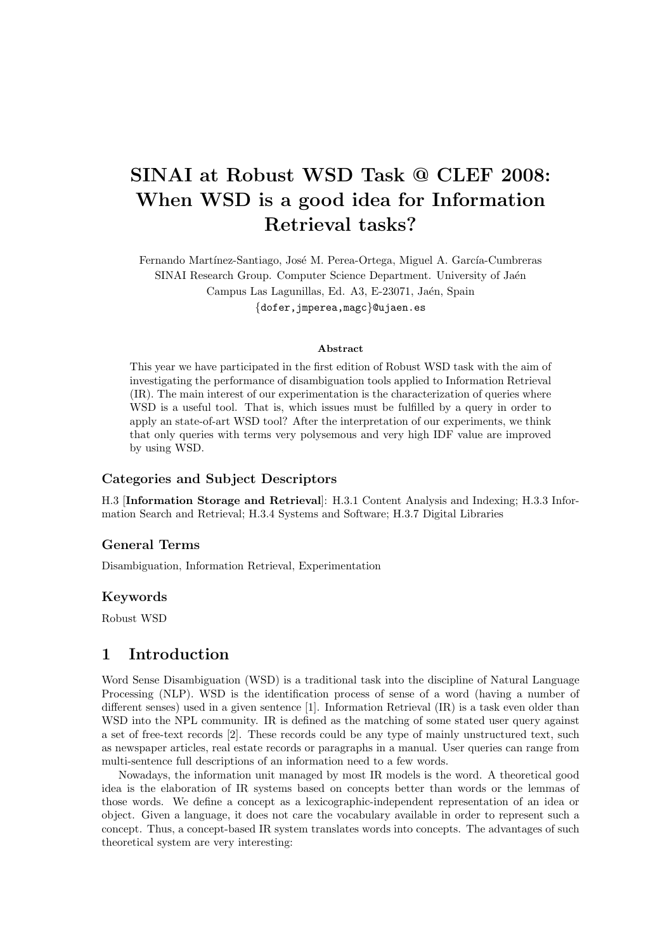# SINAI at Robust WSD Task @ CLEF 2008: When WSD is a good idea for Information Retrieval tasks?

Fernando Martínez-Santiago, José M. Perea-Ortega, Miguel A. García-Cumbreras SINAI Research Group. Computer Science Department. University of Jaén Campus Las Lagunillas, Ed. A3, E-23071, Jaén, Spain {dofer,jmperea,magc}@ujaen.es

#### Abstract

This year we have participated in the first edition of Robust WSD task with the aim of investigating the performance of disambiguation tools applied to Information Retrieval (IR). The main interest of our experimentation is the characterization of queries where WSD is a useful tool. That is, which issues must be fulfilled by a query in order to apply an state-of-art WSD tool? After the interpretation of our experiments, we think that only queries with terms very polysemous and very high IDF value are improved by using WSD.

#### Categories and Subject Descriptors

H.3 [Information Storage and Retrieval]: H.3.1 Content Analysis and Indexing; H.3.3 Information Search and Retrieval; H.3.4 Systems and Software; H.3.7 Digital Libraries

#### General Terms

Disambiguation, Information Retrieval, Experimentation

#### Keywords

Robust WSD

#### 1 Introduction

Word Sense Disambiguation (WSD) is a traditional task into the discipline of Natural Language Processing (NLP). WSD is the identification process of sense of a word (having a number of different senses) used in a given sentence [1]. Information Retrieval (IR) is a task even older than WSD into the NPL community. IR is defined as the matching of some stated user query against a set of free-text records [2]. These records could be any type of mainly unstructured text, such as newspaper articles, real estate records or paragraphs in a manual. User queries can range from multi-sentence full descriptions of an information need to a few words.

Nowadays, the information unit managed by most IR models is the word. A theoretical good idea is the elaboration of IR systems based on concepts better than words or the lemmas of those words. We define a concept as a lexicographic-independent representation of an idea or object. Given a language, it does not care the vocabulary available in order to represent such a concept. Thus, a concept-based IR system translates words into concepts. The advantages of such theoretical system are very interesting: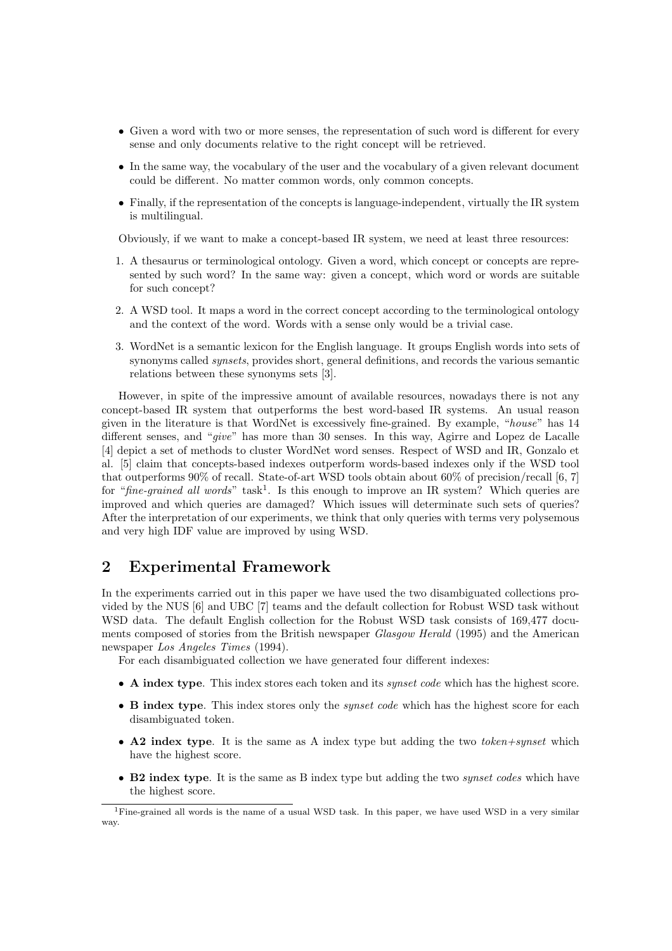- Given a word with two or more senses, the representation of such word is different for every sense and only documents relative to the right concept will be retrieved.
- In the same way, the vocabulary of the user and the vocabulary of a given relevant document could be different. No matter common words, only common concepts.
- Finally, if the representation of the concepts is language-independent, virtually the IR system is multilingual.

Obviously, if we want to make a concept-based IR system, we need at least three resources:

- 1. A thesaurus or terminological ontology. Given a word, which concept or concepts are represented by such word? In the same way: given a concept, which word or words are suitable for such concept?
- 2. A WSD tool. It maps a word in the correct concept according to the terminological ontology and the context of the word. Words with a sense only would be a trivial case.
- 3. WordNet is a semantic lexicon for the English language. It groups English words into sets of synonyms called *synsets*, provides short, general definitions, and records the various semantic relations between these synonyms sets [3].

However, in spite of the impressive amount of available resources, nowadays there is not any concept-based IR system that outperforms the best word-based IR systems. An usual reason given in the literature is that WordNet is excessively fine-grained. By example, "house" has 14 different senses, and "give" has more than 30 senses. In this way, Agirre and Lopez de Lacalle [4] depict a set of methods to cluster WordNet word senses. Respect of WSD and IR, Gonzalo et al. [5] claim that concepts-based indexes outperform words-based indexes only if the WSD tool that outperforms 90% of recall. State-of-art WSD tools obtain about 60% of precision/recall [6, 7] for "fine-grained all words" task<sup>1</sup>. Is this enough to improve an IR system? Which queries are improved and which queries are damaged? Which issues will determinate such sets of queries? After the interpretation of our experiments, we think that only queries with terms very polysemous and very high IDF value are improved by using WSD.

# 2 Experimental Framework

In the experiments carried out in this paper we have used the two disambiguated collections provided by the NUS [6] and UBC [7] teams and the default collection for Robust WSD task without WSD data. The default English collection for the Robust WSD task consists of 169,477 documents composed of stories from the British newspaper Glasgow Herald (1995) and the American newspaper Los Angeles Times (1994).

For each disambiguated collection we have generated four different indexes:

- A index type. This index stores each token and its *synset code* which has the highest score.
- B index type. This index stores only the *synset code* which has the highest score for each disambiguated token.
- A2 index type. It is the same as A index type but adding the two *token+synset* which have the highest score.
- B2 index type. It is the same as B index type but adding the two *synset codes* which have the highest score.

<sup>1</sup>Fine-grained all words is the name of a usual WSD task. In this paper, we have used WSD in a very similar way.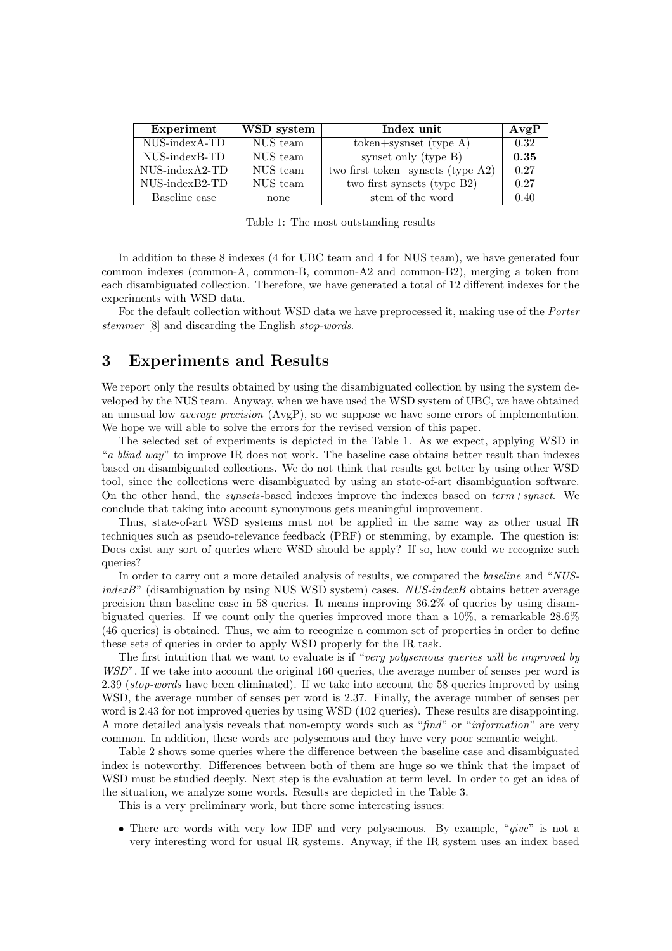| Experiment            | WSD system | Index unit                        | AvgP |
|-----------------------|------------|-----------------------------------|------|
| NUS-indexA-TD         | NUS team   | $token+synset$ (type A)           | 0.32 |
| NUS-indexB-TD         | NUS team   | synset only (type B)              | 0.35 |
| $NUS$ -index $A2$ -TD | NUS team   | two first token+synsets (type A2) | 0.27 |
| NUS-indexB2-TD        | NUS team   | two first synsets (type B2)       | 0.27 |
| Baseline case         | none       | stem of the word                  | 0.40 |

Table 1: The most outstanding results

In addition to these 8 indexes (4 for UBC team and 4 for NUS team), we have generated four common indexes (common-A, common-B, common-A2 and common-B2), merging a token from each disambiguated collection. Therefore, we have generated a total of 12 different indexes for the experiments with WSD data.

For the default collection without WSD data we have preprocessed it, making use of the *Porter* stemmer [8] and discarding the English stop-words.

#### 3 Experiments and Results

We report only the results obtained by using the disambiguated collection by using the system developed by the NUS team. Anyway, when we have used the WSD system of UBC, we have obtained an unusual low *average precision*  $(AvgP)$ , so we suppose we have some errors of implementation. We hope we will able to solve the errors for the revised version of this paper.

The selected set of experiments is depicted in the Table 1. As we expect, applying WSD in "a blind way" to improve IR does not work. The baseline case obtains better result than indexes based on disambiguated collections. We do not think that results get better by using other WSD tool, since the collections were disambiguated by using an state-of-art disambiguation software. On the other hand, the *synsets*-based indexes improve the indexes based on  $term+synset$ . We conclude that taking into account synonymous gets meaningful improvement.

Thus, state-of-art WSD systems must not be applied in the same way as other usual IR techniques such as pseudo-relevance feedback (PRF) or stemming, by example. The question is: Does exist any sort of queries where WSD should be apply? If so, how could we recognize such queries?

In order to carry out a more detailed analysis of results, we compared the *baseline* and "NUS $indexB"$  (disambiguation by using NUS WSD system) cases. NUS-indexB obtains better average precision than baseline case in 58 queries. It means improving 36.2% of queries by using disambiguated queries. If we count only the queries improved more than a 10%, a remarkable 28.6% (46 queries) is obtained. Thus, we aim to recognize a common set of properties in order to define these sets of queries in order to apply WSD properly for the IR task.

The first intuition that we want to evaluate is if "very polysemous queries will be improved by WSD". If we take into account the original 160 queries, the average number of senses per word is 2.39 (stop-words have been eliminated). If we take into account the 58 queries improved by using WSD, the average number of senses per word is 2.37. Finally, the average number of senses per word is 2.43 for not improved queries by using WSD (102 queries). These results are disappointing. A more detailed analysis reveals that non-empty words such as "find" or "information" are very common. In addition, these words are polysemous and they have very poor semantic weight.

Table 2 shows some queries where the difference between the baseline case and disambiguated index is noteworthy. Differences between both of them are huge so we think that the impact of WSD must be studied deeply. Next step is the evaluation at term level. In order to get an idea of the situation, we analyze some words. Results are depicted in the Table 3.

This is a very preliminary work, but there some interesting issues:

• There are words with very low IDF and very polysemous. By example, "give" is not a very interesting word for usual IR systems. Anyway, if the IR system uses an index based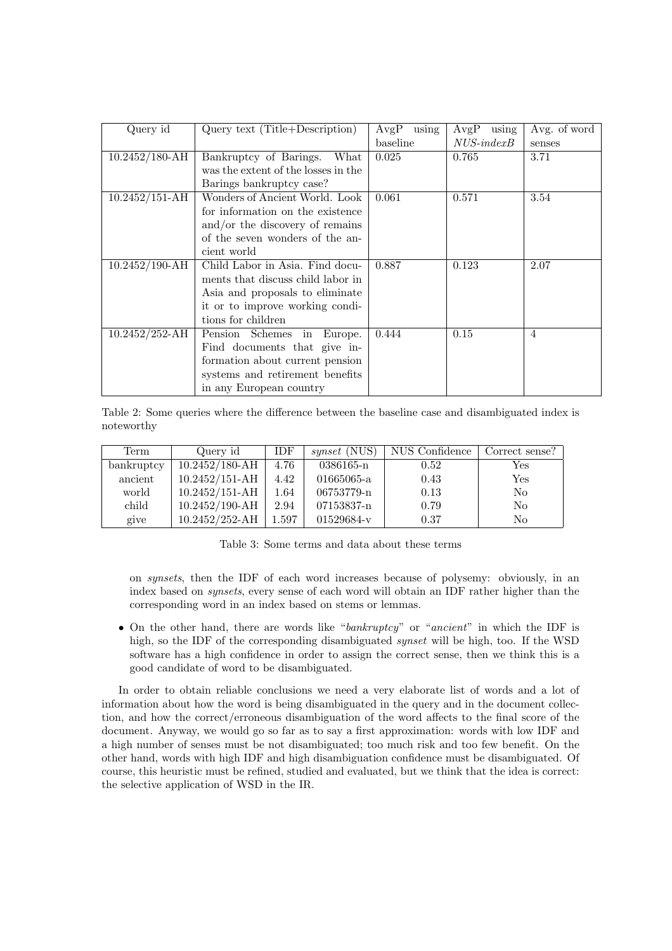| Query id           | Query text (Title+Description)      | using<br>AvgP | using<br>AvgP    | Avg. of word   |
|--------------------|-------------------------------------|---------------|------------------|----------------|
|                    |                                     | baseline      | $NUS$ -index $B$ | senses         |
| $10.2452/180$ -AH  | Bankruptcy of Barings.<br>What      | 0.025         | 0.765            | 3.71           |
|                    | was the extent of the losses in the |               |                  |                |
|                    | Barings bankruptcy case?            |               |                  |                |
| $10.2452/151 - AH$ | Wonders of Ancient World. Look      | 0.061         | 0.571            | 3.54           |
|                    | for information on the existence    |               |                  |                |
|                    | and/or the discovery of remains     |               |                  |                |
|                    | of the seven wonders of the an-     |               |                  |                |
|                    | cient world                         |               |                  |                |
| $10.2452/190 - AH$ | Child Labor in Asia. Find docu-     | 0.887         | 0.123            | 2.07           |
|                    | ments that discuss child labor in   |               |                  |                |
|                    | Asia and proposals to eliminate     |               |                  |                |
|                    | it or to improve working condi-     |               |                  |                |
|                    | tions for children                  |               |                  |                |
| $10.2452/252$ -AH  | Pension Schemes in<br>Europe.       | 0.444         | 0.15             | $\overline{4}$ |
|                    | Find documents that give in-        |               |                  |                |
|                    | formation about current pension     |               |                  |                |
|                    | systems and retirement benefits     |               |                  |                |
|                    | in any European country             |               |                  |                |

Table 2: Some queries where the difference between the baseline case and disambiguated index is noteworthy

| Term       | Query id           | <b>IDF</b> | <i>synset</i> (NUS) | NUS Confidence | Correct sense? |
|------------|--------------------|------------|---------------------|----------------|----------------|
| bankruptcy | $10.2452/180$ -AH  | 4.76       | 0386165-n           | 0.52           | Yes            |
| ancient    | $10.2452/151 - AH$ | 4.42       | 01665065-a          | 0.43           | Yes            |
| world      | $10.2452/151 - AH$ | $1.64\,$   | 06753779-n          | 0.13           | No             |
| child      | $10.2452/190 - AH$ | 2.94       | 07153837-n          | 0.79           | No             |
| give       | $10.2452/252 - AH$ | 1.597      | 01529684-v          | 0.37           | No             |

Table 3: Some terms and data about these terms

on synsets, then the IDF of each word increases because of polysemy: obviously, in an index based on synsets, every sense of each word will obtain an IDF rather higher than the corresponding word in an index based on stems or lemmas.

• On the other hand, there are words like "bankruptcy" or "ancient" in which the IDF is high, so the IDF of the corresponding disambiguated synset will be high, too. If the WSD software has a high confidence in order to assign the correct sense, then we think this is a good candidate of word to be disambiguated.

In order to obtain reliable conclusions we need a very elaborate list of words and a lot of information about how the word is being disambiguated in the query and in the document collection, and how the correct/erroneous disambiguation of the word affects to the final score of the document. Anyway, we would go so far as to say a first approximation: words with low IDF and a high number of senses must be not disambiguated; too much risk and too few benefit. On the other hand, words with high IDF and high disambiguation confidence must be disambiguated. Of course, this heuristic must be refined, studied and evaluated, but we think that the idea is correct: the selective application of WSD in the IR.